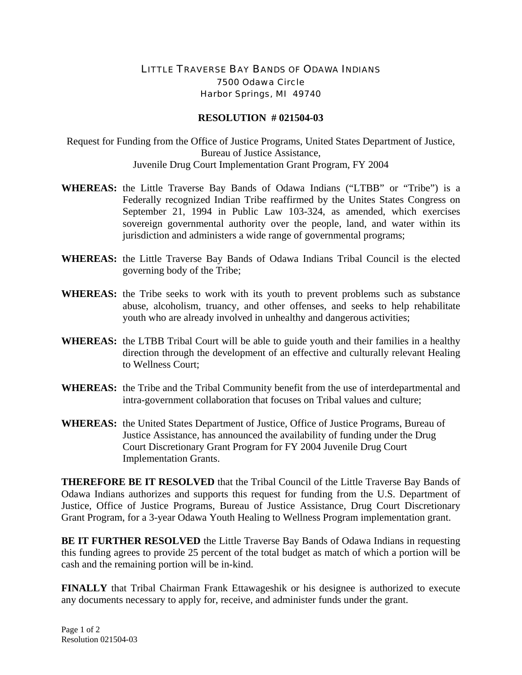## LITTLE TRAVERSE BAY BANDS OF ODAWA INDIANS 7500 Odawa Circle Harbor Springs, MI 49740

## **RESOLUTION # 021504-03**

Request for Funding from the Office of Justice Programs, United States Department of Justice, Bureau of Justice Assistance, Juvenile Drug Court Implementation Grant Program, FY 2004

- **WHEREAS:** the Little Traverse Bay Bands of Odawa Indians ("LTBB" or "Tribe") is a Federally recognized Indian Tribe reaffirmed by the Unites States Congress on September 21, 1994 in Public Law 103-324, as amended, which exercises sovereign governmental authority over the people, land, and water within its jurisdiction and administers a wide range of governmental programs;
- **WHEREAS:** the Little Traverse Bay Bands of Odawa Indians Tribal Council is the elected governing body of the Tribe;
- **WHEREAS:** the Tribe seeks to work with its youth to prevent problems such as substance abuse, alcoholism, truancy, and other offenses, and seeks to help rehabilitate youth who are already involved in unhealthy and dangerous activities;
- **WHEREAS:** the LTBB Tribal Court will be able to guide youth and their families in a healthy direction through the development of an effective and culturally relevant Healing to Wellness Court;
- **WHEREAS:** the Tribe and the Tribal Community benefit from the use of interdepartmental and intra-government collaboration that focuses on Tribal values and culture;
- **WHEREAS:** the United States Department of Justice, Office of Justice Programs, Bureau of Justice Assistance, has announced the availability of funding under the Drug Court Discretionary Grant Program for FY 2004 Juvenile Drug Court Implementation Grants.

**THEREFORE BE IT RESOLVED** that the Tribal Council of the Little Traverse Bay Bands of Odawa Indians authorizes and supports this request for funding from the U.S. Department of Justice, Office of Justice Programs, Bureau of Justice Assistance, Drug Court Discretionary Grant Program, for a 3-year Odawa Youth Healing to Wellness Program implementation grant.

**BE IT FURTHER RESOLVED** the Little Traverse Bay Bands of Odawa Indians in requesting this funding agrees to provide 25 percent of the total budget as match of which a portion will be cash and the remaining portion will be in-kind.

**FINALLY** that Tribal Chairman Frank Ettawageshik or his designee is authorized to execute any documents necessary to apply for, receive, and administer funds under the grant.